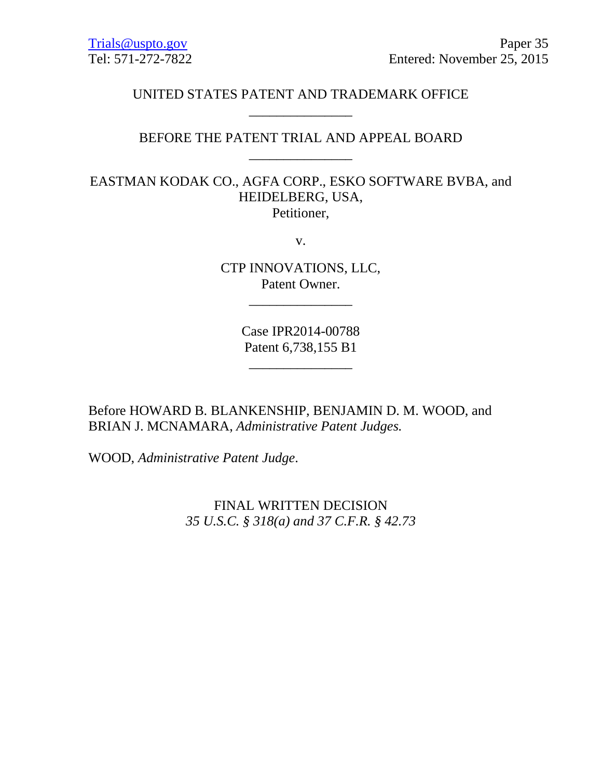# UNITED STATES PATENT AND TRADEMARK OFFICE \_\_\_\_\_\_\_\_\_\_\_\_\_\_\_

# BEFORE THE PATENT TRIAL AND APPEAL BOARD \_\_\_\_\_\_\_\_\_\_\_\_\_\_\_

EASTMAN KODAK CO., AGFA CORP., ESKO SOFTWARE BVBA, and HEIDELBERG, USA, Petitioner,

v.

CTP INNOVATIONS, LLC, Patent Owner.

\_\_\_\_\_\_\_\_\_\_\_\_\_\_\_

Case IPR2014-00788 Patent 6,738,155 B1

\_\_\_\_\_\_\_\_\_\_\_\_\_\_\_

Before HOWARD B. BLANKENSHIP, BENJAMIN D. M. WOOD, and BRIAN J. MCNAMARA, *Administrative Patent Judges.* 

WOOD, *Administrative Patent Judge*.

FINAL WRITTEN DECISION *35 U.S.C. § 318(a) and 37 C.F.R. § 42.73*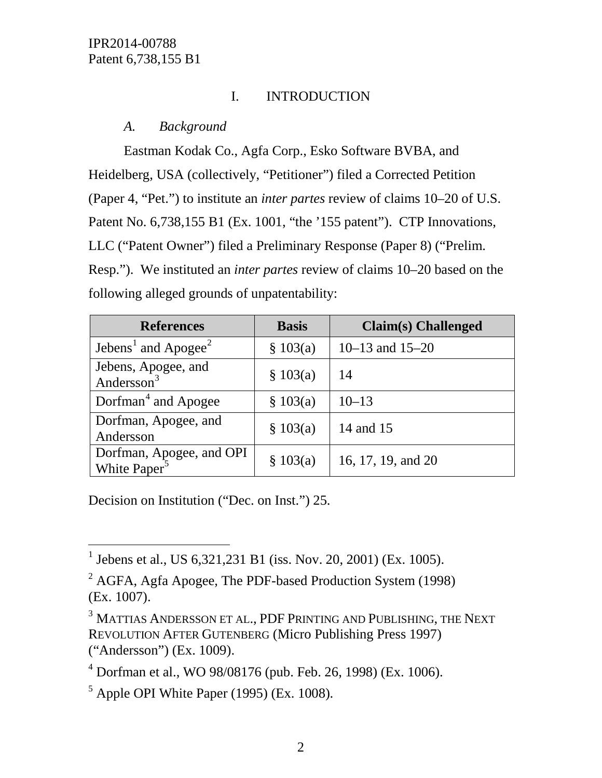# I. INTRODUCTION

## *A. Background*

Eastman Kodak Co., Agfa Corp., Esko Software BVBA, and Heidelberg, USA (collectively, "Petitioner") filed a Corrected Petition (Paper 4, "Pet.") to institute an *inter partes* review of claims 10–20 of U.S. Patent No. 6,738,155 B1 (Ex. 1001, "the '155 patent"). CTP Innovations, LLC ("Patent Owner") filed a Preliminary Response (Paper 8) ("Prelim. Resp."). We instituted an *inter partes* review of claims 10–20 based on the following alleged grounds of unpatentability:

| <b>References</b>                                    | <b>Basis</b> | <b>Claim(s)</b> Challenged |
|------------------------------------------------------|--------------|----------------------------|
| Jebens <sup>1</sup> and Apogee <sup>2</sup>          | \$103(a)     | 10–13 and $15-20$          |
| Jebens, Apogee, and<br>Andersson <sup>3</sup>        | \$103(a)     | 14                         |
| Dorfman <sup>4</sup> and Apogee                      | \$103(a)     | $10 - 13$                  |
| Dorfman, Apogee, and<br>Andersson                    | \$103(a)     | 14 and 15                  |
| Dorfman, Apogee, and OPI<br>White Paper <sup>5</sup> | \$103(a)     | 16, 17, 19, and 20         |

Decision on Institution ("Dec. on Inst.") 25.

<span id="page-1-0"></span><sup>&</sup>lt;sup>1</sup> Jebens et al., US 6,321,231 B1 (iss. Nov. 20, 2001) (Ex. 1005).

<span id="page-1-1"></span> $2$  AGFA, Agfa Apogee, The PDF-based Production System (1998) (Ex. 1007).

<span id="page-1-2"></span><sup>&</sup>lt;sup>3</sup> MATTIAS ANDERSSON ET AL., PDF PRINTING AND PUBLISHING, THE NEXT REVOLUTION AFTER GUTENBERG (Micro Publishing Press 1997) ("Andersson") (Ex. 1009).

<span id="page-1-3"></span> $4$  Dorfman et al., WO 98/08176 (pub. Feb. 26, 1998) (Ex. 1006).

<span id="page-1-4"></span> $<sup>5</sup>$  Apple OPI White Paper (1995) (Ex. 1008).</sup>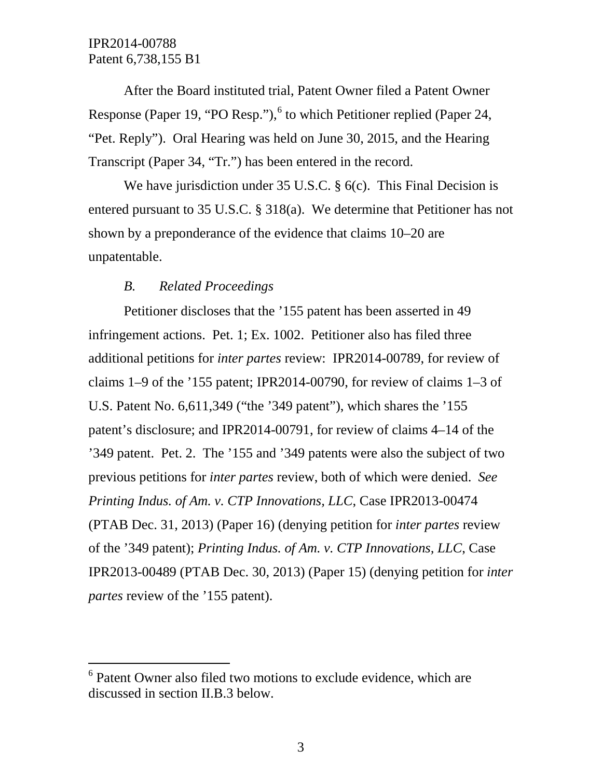After the Board instituted trial, Patent Owner filed a Patent Owner Response (Paper 19, "PO Resp."), $6$  to which Petitioner replied (Paper 24, "Pet. Reply"). Oral Hearing was held on June 30, 2015, and the Hearing Transcript (Paper 34, "Tr.") has been entered in the record.

We have jurisdiction under 35 U.S.C. § 6(c). This Final Decision is entered pursuant to 35 U.S.C. § 318(a). We determine that Petitioner has not shown by a preponderance of the evidence that claims 10–20 are unpatentable.

#### *B. Related Proceedings*

Petitioner discloses that the '155 patent has been asserted in 49 infringement actions. Pet. 1; Ex. 1002. Petitioner also has filed three additional petitions for *inter partes* review: IPR2014-00789, for review of claims 1–9 of the '155 patent; IPR2014-00790, for review of claims 1–3 of U.S. Patent No. 6,611,349 ("the '349 patent"), which shares the '155 patent's disclosure; and IPR2014-00791, for review of claims 4–14 of the '349 patent. Pet. 2. The '155 and '349 patents were also the subject of two previous petitions for *inter partes* review, both of which were denied. *See Printing Indus. of Am. v. CTP Innovations, LLC*, Case IPR2013-00474 (PTAB Dec. 31, 2013) (Paper 16) (denying petition for *inter partes* review of the '349 patent); *Printing Indus. of Am. v. CTP Innovations, LLC*, Case IPR2013-00489 (PTAB Dec. 30, 2013) (Paper 15) (denying petition for *inter partes* review of the '155 patent).

<span id="page-2-0"></span><sup>&</sup>lt;sup>6</sup> Patent Owner also filed two motions to exclude evidence, which are discussed in section II.B.3 below.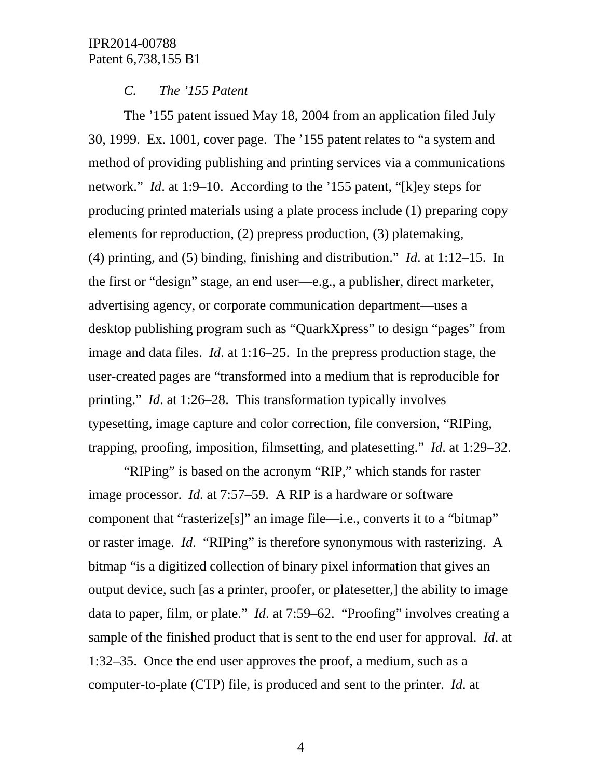### *C. The '155 Patent*

The '155 patent issued May 18, 2004 from an application filed July 30, 1999. Ex. 1001, cover page. The '155 patent relates to "a system and method of providing publishing and printing services via a communications network." *Id*. at 1:9–10. According to the '155 patent, "[k]ey steps for producing printed materials using a plate process include (1) preparing copy elements for reproduction, (2) prepress production, (3) platemaking, (4) printing, and (5) binding, finishing and distribution." *Id*. at 1:12–15. In the first or "design" stage, an end user—e.g., a publisher, direct marketer, advertising agency, or corporate communication department—uses a desktop publishing program such as "QuarkXpress" to design "pages" from image and data files. *Id*. at 1:16–25. In the prepress production stage, the user-created pages are "transformed into a medium that is reproducible for printing." *Id*. at 1:26–28. This transformation typically involves typesetting, image capture and color correction, file conversion, "RIPing, trapping, proofing, imposition, filmsetting, and platesetting." *Id*. at 1:29–32.

"RIPing" is based on the acronym "RIP," which stands for raster image processor. *Id.* at 7:57–59. A RIP is a hardware or software component that "rasterize[s]" an image file—i.e., converts it to a "bitmap" or raster image. *Id*. "RIPing" is therefore synonymous with rasterizing. A bitmap "is a digitized collection of binary pixel information that gives an output device, such [as a printer, proofer, or platesetter,] the ability to image data to paper, film, or plate." *Id*. at 7:59–62. "Proofing" involves creating a sample of the finished product that is sent to the end user for approval. *Id*. at 1:32–35. Once the end user approves the proof, a medium, such as a computer-to-plate (CTP) file, is produced and sent to the printer. *Id*. at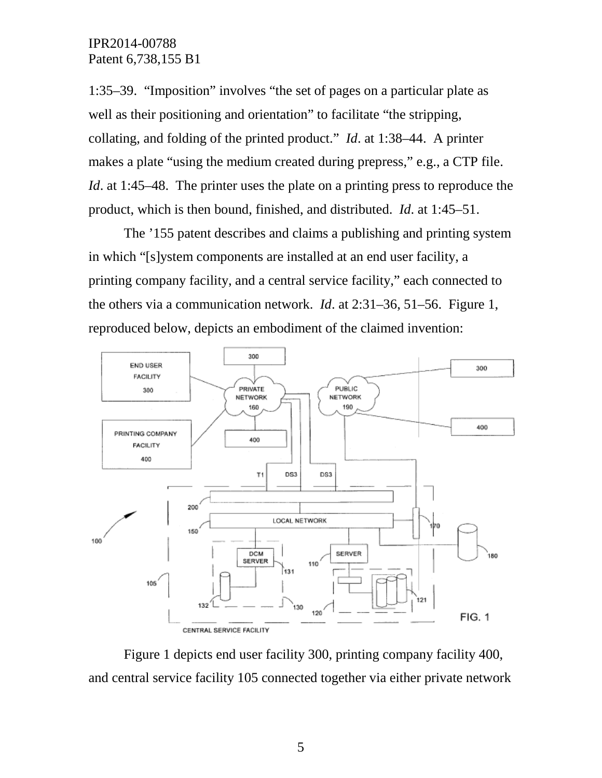1:35–39. "Imposition" involves "the set of pages on a particular plate as well as their positioning and orientation" to facilitate "the stripping, collating, and folding of the printed product." *Id*. at 1:38–44. A printer makes a plate "using the medium created during prepress," e.g., a CTP file. *Id*. at 1:45–48. The printer uses the plate on a printing press to reproduce the product, which is then bound, finished, and distributed. *Id*. at 1:45–51.

The '155 patent describes and claims a publishing and printing system in which "[s]ystem components are installed at an end user facility, a printing company facility, and a central service facility," each connected to the others via a communication network. *Id*. at 2:31–36, 51–56. Figure 1, reproduced below, depicts an embodiment of the claimed invention:



Figure 1 depicts end user facility 300, printing company facility 400, and central service facility 105 connected together via either private network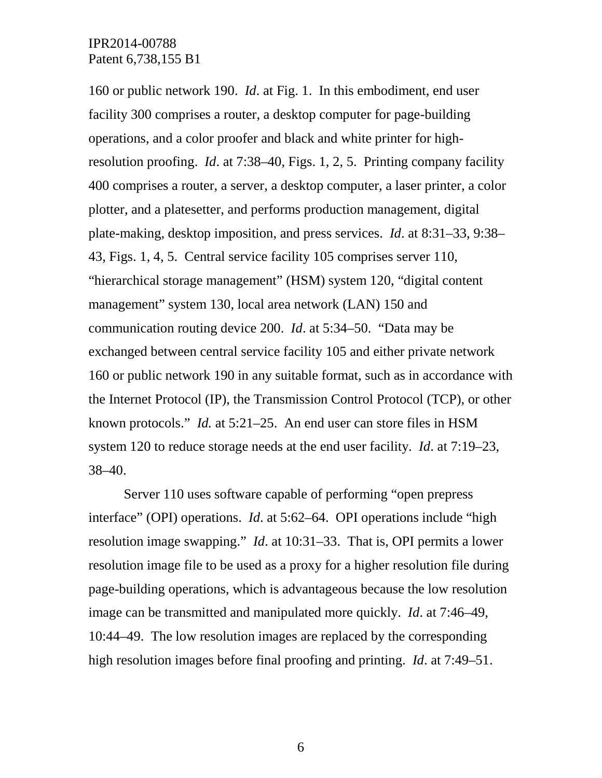160 or public network 190. *Id*. at Fig. 1. In this embodiment, end user facility 300 comprises a router, a desktop computer for page-building operations, and a color proofer and black and white printer for highresolution proofing. *Id*. at 7:38–40, Figs. 1, 2, 5. Printing company facility 400 comprises a router, a server, a desktop computer, a laser printer, a color plotter, and a platesetter, and performs production management, digital plate-making, desktop imposition, and press services. *Id*. at 8:31–33, 9:38– 43, Figs. 1, 4, 5. Central service facility 105 comprises server 110, "hierarchical storage management" (HSM) system 120, "digital content management" system 130, local area network (LAN) 150 and communication routing device 200. *Id*. at 5:34–50. "Data may be exchanged between central service facility 105 and either private network 160 or public network 190 in any suitable format, such as in accordance with the Internet Protocol (IP), the Transmission Control Protocol (TCP), or other known protocols." *Id.* at 5:21–25. An end user can store files in HSM system 120 to reduce storage needs at the end user facility. *Id*. at 7:19–23, 38–40.

Server 110 uses software capable of performing "open prepress interface" (OPI) operations. *Id*. at 5:62–64. OPI operations include "high resolution image swapping." *Id*. at 10:31–33. That is, OPI permits a lower resolution image file to be used as a proxy for a higher resolution file during page-building operations, which is advantageous because the low resolution image can be transmitted and manipulated more quickly. *Id*. at 7:46–49, 10:44–49. The low resolution images are replaced by the corresponding high resolution images before final proofing and printing. *Id*. at 7:49–51.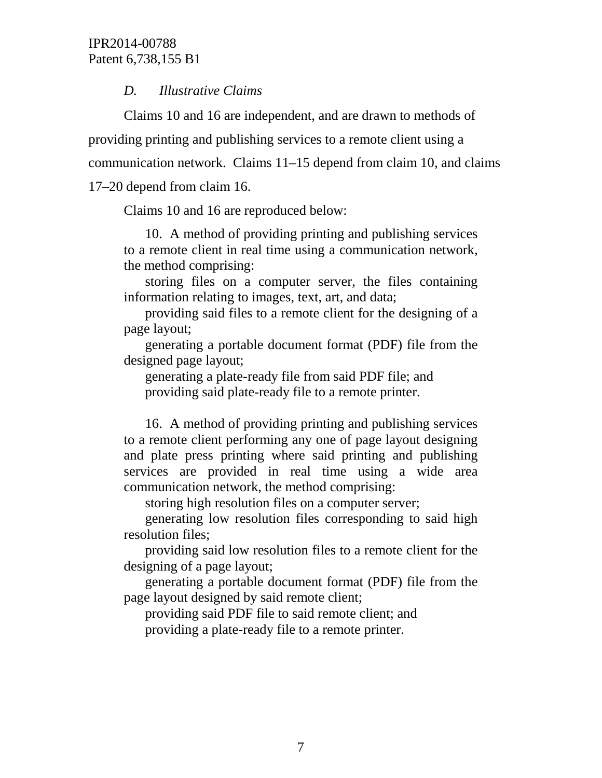## *D. Illustrative Claims*

Claims 10 and 16 are independent, and are drawn to methods of providing printing and publishing services to a remote client using a communication network. Claims 11–15 depend from claim 10, and claims 17–20 depend from claim 16.

Claims 10 and 16 are reproduced below:

10. A method of providing printing and publishing services to a remote client in real time using a communication network, the method comprising:

storing files on a computer server, the files containing information relating to images, text, art, and data;

providing said files to a remote client for the designing of a page layout;

generating a portable document format (PDF) file from the designed page layout;

generating a plate-ready file from said PDF file; and providing said plate-ready file to a remote printer.

16. A method of providing printing and publishing services to a remote client performing any one of page layout designing and plate press printing where said printing and publishing services are provided in real time using a wide area communication network, the method comprising:

storing high resolution files on a computer server;

generating low resolution files corresponding to said high resolution files;

providing said low resolution files to a remote client for the designing of a page layout;

generating a portable document format (PDF) file from the page layout designed by said remote client;

providing said PDF file to said remote client; and providing a plate-ready file to a remote printer.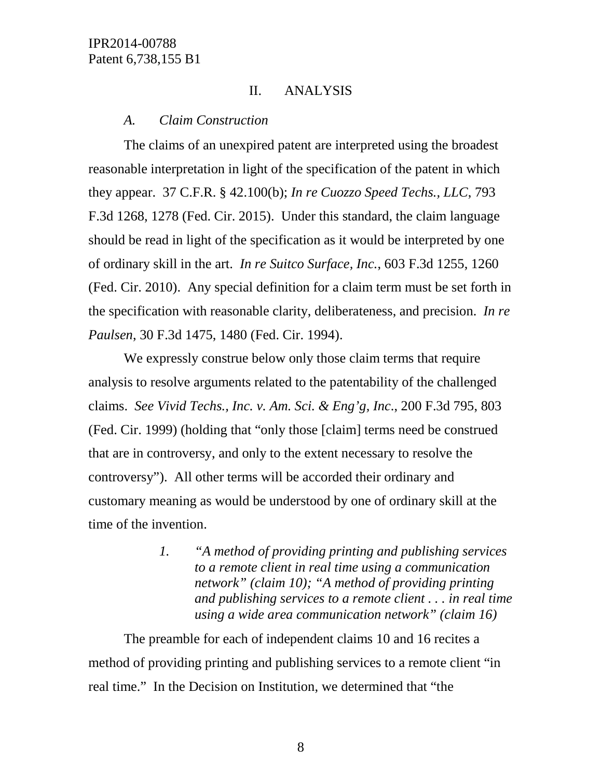### II. ANALYSIS

#### *A. Claim Construction*

The claims of an unexpired patent are interpreted using the broadest reasonable interpretation in light of the specification of the patent in which they appear. 37 C.F.R. § 42.100(b); *In re Cuozzo Speed Techs., LLC*, 793 F.3d 1268, 1278 (Fed. Cir. 2015). Under this standard, the claim language should be read in light of the specification as it would be interpreted by one of ordinary skill in the art. *In re Suitco Surface, Inc.*, 603 F.3d 1255, 1260 (Fed. Cir. 2010). Any special definition for a claim term must be set forth in the specification with reasonable clarity, deliberateness, and precision. *In re Paulsen*, 30 F.3d 1475, 1480 (Fed. Cir. 1994).

We expressly construe below only those claim terms that require analysis to resolve arguments related to the patentability of the challenged claims. *See Vivid Techs., Inc. v. Am. Sci. & Eng'g, Inc*., 200 F.3d 795, 803 (Fed. Cir. 1999) (holding that "only those [claim] terms need be construed that are in controversy, and only to the extent necessary to resolve the controversy"). All other terms will be accorded their ordinary and customary meaning as would be understood by one of ordinary skill at the time of the invention.

> *1. "A method of providing printing and publishing services to a remote client in real time using a communication network" (claim 10); "A method of providing printing and publishing services to a remote client . . . in real time using a wide area communication network" (claim 16)*

The preamble for each of independent claims 10 and 16 recites a method of providing printing and publishing services to a remote client "in real time." In the Decision on Institution, we determined that "the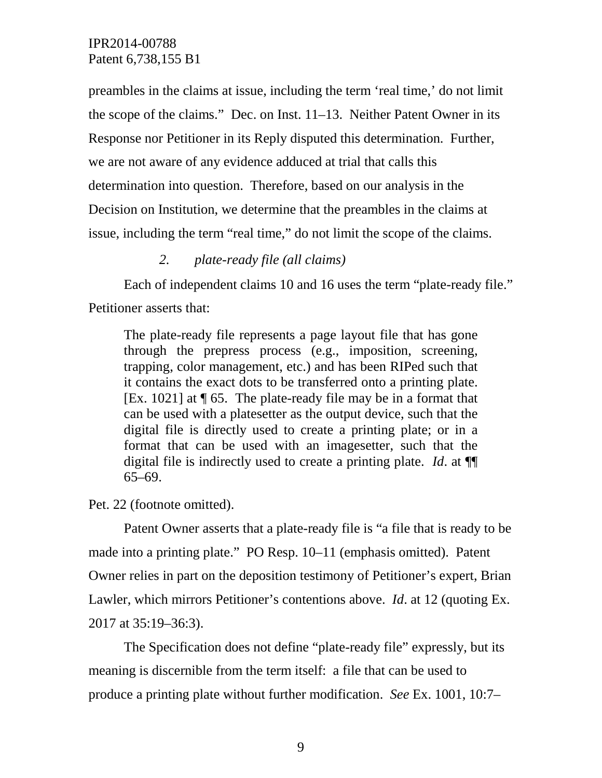preambles in the claims at issue, including the term 'real time,' do not limit the scope of the claims." Dec. on Inst. 11–13. Neither Patent Owner in its Response nor Petitioner in its Reply disputed this determination. Further, we are not aware of any evidence adduced at trial that calls this determination into question. Therefore, based on our analysis in the Decision on Institution, we determine that the preambles in the claims at issue, including the term "real time," do not limit the scope of the claims.

### *2. plate-ready file (all claims)*

Each of independent claims 10 and 16 uses the term "plate-ready file." Petitioner asserts that:

The plate-ready file represents a page layout file that has gone through the prepress process (e.g., imposition, screening, trapping, color management, etc.) and has been RIPed such that it contains the exact dots to be transferred onto a printing plate. [Ex. 1021] at ¶ 65. The plate-ready file may be in a format that can be used with a platesetter as the output device, such that the digital file is directly used to create a printing plate; or in a format that can be used with an imagesetter, such that the digital file is indirectly used to create a printing plate. *Id*. at ¶¶ 65–69.

Pet. 22 (footnote omitted).

Patent Owner asserts that a plate-ready file is "a file that is ready to be made into a printing plate." PO Resp. 10–11 (emphasis omitted). Patent Owner relies in part on the deposition testimony of Petitioner's expert, Brian Lawler, which mirrors Petitioner's contentions above. *Id*. at 12 (quoting Ex. 2017 at 35:19–36:3).

The Specification does not define "plate-ready file" expressly, but its meaning is discernible from the term itself: a file that can be used to produce a printing plate without further modification. *See* Ex. 1001, 10:7–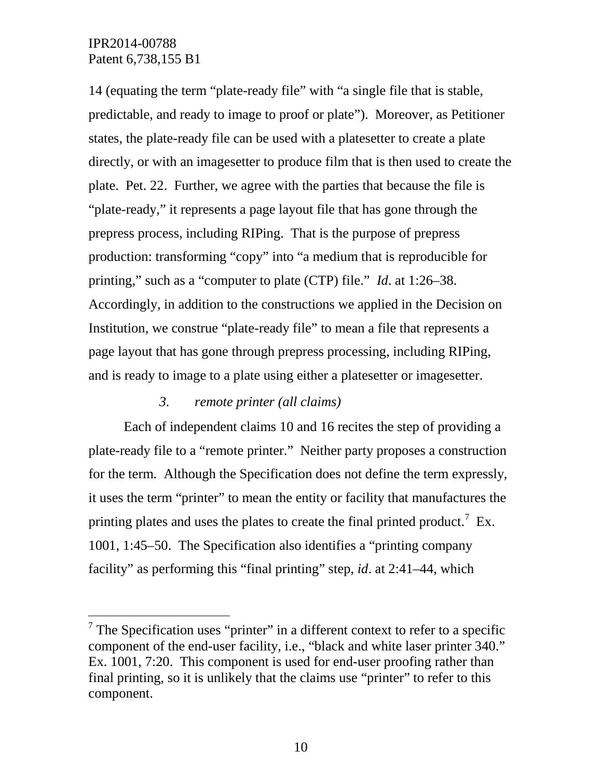14 (equating the term "plate-ready file" with "a single file that is stable, predictable, and ready to image to proof or plate"). Moreover, as Petitioner states, the plate-ready file can be used with a platesetter to create a plate directly, or with an imagesetter to produce film that is then used to create the plate. Pet. 22. Further, we agree with the parties that because the file is "plate-ready," it represents a page layout file that has gone through the prepress process, including RIPing. That is the purpose of prepress production: transforming "copy" into "a medium that is reproducible for printing," such as a "computer to plate (CTP) file." *Id*. at 1:26–38. Accordingly, in addition to the constructions we applied in the Decision on Institution, we construe "plate-ready file" to mean a file that represents a page layout that has gone through prepress processing, including RIPing, and is ready to image to a plate using either a platesetter or imagesetter.

### *3. remote printer (all claims)*

Each of independent claims 10 and 16 recites the step of providing a plate-ready file to a "remote printer." Neither party proposes a construction for the term. Although the Specification does not define the term expressly, it uses the term "printer" to mean the entity or facility that manufactures the printing plates and uses the plates to create the final printed product.<sup>[7](#page-9-0)</sup> Ex. 1001, 1:45–50. The Specification also identifies a "printing company facility" as performing this "final printing" step, *id*. at 2:41–44, which

<span id="page-9-0"></span> $7$  The Specification uses "printer" in a different context to refer to a specific component of the end-user facility, i.e., "black and white laser printer 340." Ex. 1001, 7:20. This component is used for end-user proofing rather than final printing, so it is unlikely that the claims use "printer" to refer to this component.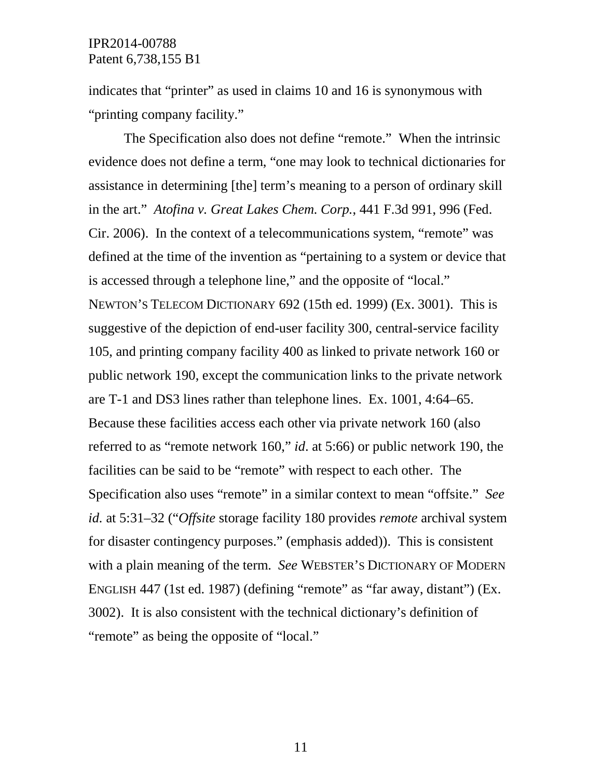indicates that "printer" as used in claims 10 and 16 is synonymous with "printing company facility."

The Specification also does not define "remote." When the intrinsic evidence does not define a term, "one may look to technical dictionaries for assistance in determining [the] term's meaning to a person of ordinary skill in the art." *Atofina v. Great Lakes Chem. Corp.*, 441 F.3d 991, 996 (Fed. Cir. 2006). In the context of a telecommunications system, "remote" was defined at the time of the invention as "pertaining to a system or device that is accessed through a telephone line," and the opposite of "local." NEWTON'S TELECOM DICTIONARY 692 (15th ed. 1999) (Ex. 3001). This is suggestive of the depiction of end-user facility 300, central-service facility 105, and printing company facility 400 as linked to private network 160 or public network 190, except the communication links to the private network are T-1 and DS3 lines rather than telephone lines. Ex. 1001, 4:64–65. Because these facilities access each other via private network 160 (also referred to as "remote network 160," *id*. at 5:66) or public network 190, the facilities can be said to be "remote" with respect to each other. The Specification also uses "remote" in a similar context to mean "offsite." *See id.* at 5:31–32 ("*Offsite* storage facility 180 provides *remote* archival system for disaster contingency purposes." (emphasis added)). This is consistent with a plain meaning of the term. *See* WEBSTER'S DICTIONARY OF MODERN ENGLISH 447 (1st ed. 1987) (defining "remote" as "far away, distant") (Ex. 3002). It is also consistent with the technical dictionary's definition of "remote" as being the opposite of "local."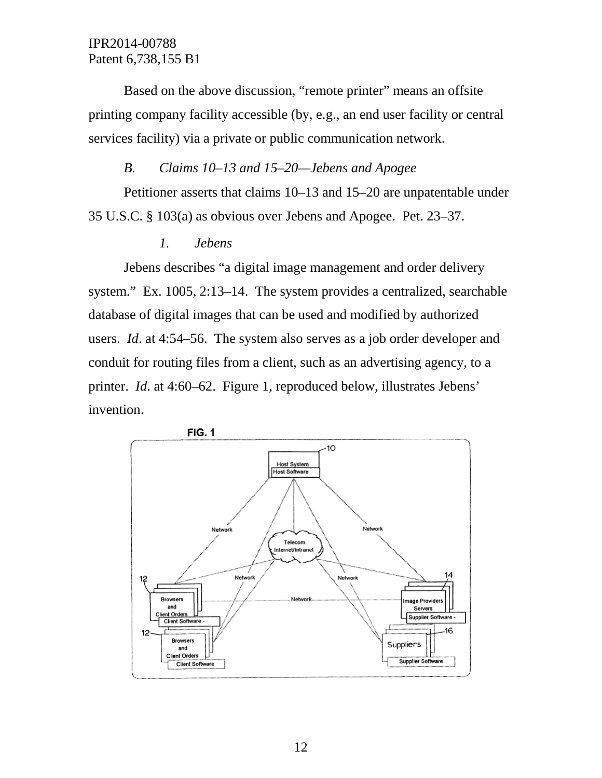Based on the above discussion, "remote printer" means an offsite printing company facility accessible (by, e.g., an end user facility or central services facility) via a private or public communication network.

#### *B. Claims 10–13 and 15–20—Jebens and Apogee*

Petitioner asserts that claims 10–13 and 15–20 are unpatentable under 35 U.S.C. § 103(a) as obvious over Jebens and Apogee. Pet. 23–37.

#### *1. Jebens*

Jebens describes "a digital image management and order delivery system." Ex. 1005, 2:13–14. The system provides a centralized, searchable database of digital images that can be used and modified by authorized users. *Id*. at 4:54–56. The system also serves as a job order developer and conduit for routing files from a client, such as an advertising agency, to a printer. *Id*. at 4:60–62. Figure 1, reproduced below, illustrates Jebens' invention.

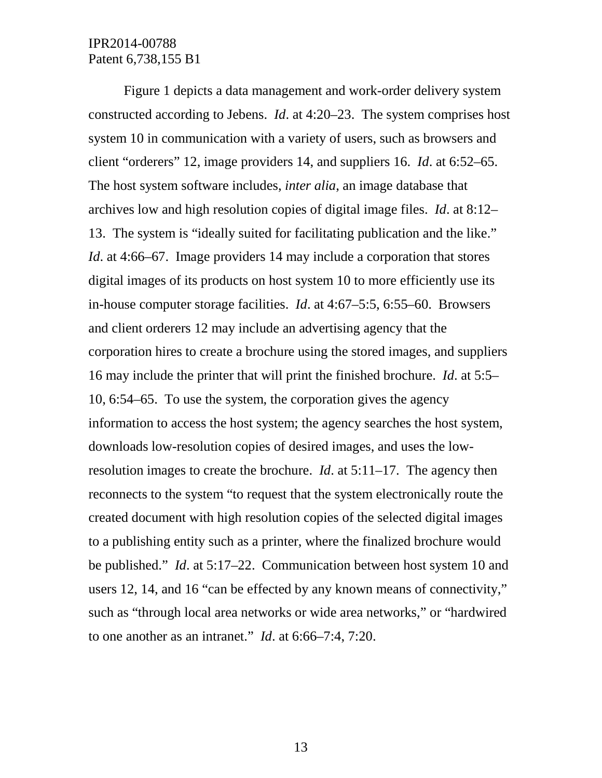Figure 1 depicts a data management and work-order delivery system constructed according to Jebens. *Id*. at 4:20–23. The system comprises host system 10 in communication with a variety of users, such as browsers and client "orderers" 12, image providers 14, and suppliers 16. *Id*. at 6:52–65. The host system software includes, *inter alia*, an image database that archives low and high resolution copies of digital image files. *Id*. at 8:12– 13. The system is "ideally suited for facilitating publication and the like." *Id.* at 4:66–67. Image providers 14 may include a corporation that stores digital images of its products on host system 10 to more efficiently use its in-house computer storage facilities. *Id*. at 4:67–5:5, 6:55–60. Browsers and client orderers 12 may include an advertising agency that the corporation hires to create a brochure using the stored images, and suppliers 16 may include the printer that will print the finished brochure. *Id*. at 5:5– 10, 6:54–65. To use the system, the corporation gives the agency information to access the host system; the agency searches the host system, downloads low-resolution copies of desired images, and uses the lowresolution images to create the brochure. *Id*. at 5:11–17. The agency then reconnects to the system "to request that the system electronically route the created document with high resolution copies of the selected digital images to a publishing entity such as a printer, where the finalized brochure would be published." *Id*. at 5:17–22. Communication between host system 10 and users 12, 14, and 16 "can be effected by any known means of connectivity," such as "through local area networks or wide area networks," or "hardwired to one another as an intranet." *Id*. at 6:66–7:4, 7:20.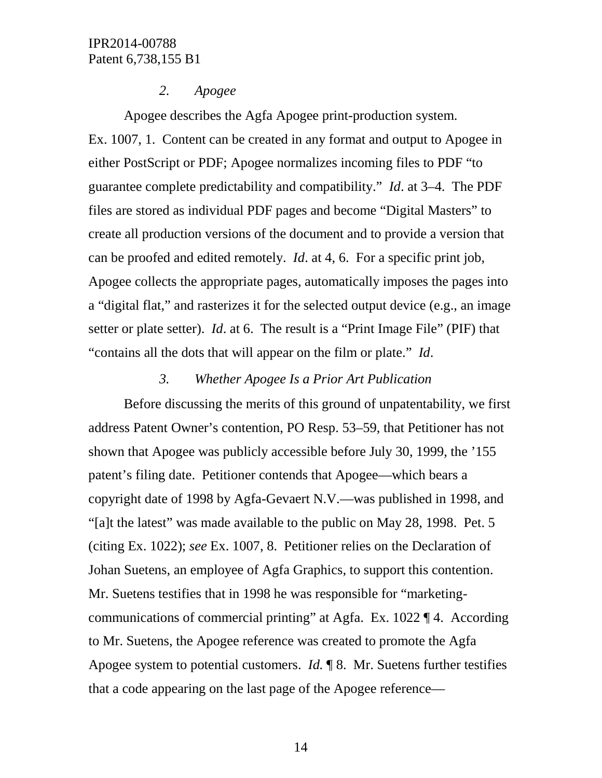#### *2. Apogee*

Apogee describes the Agfa Apogee print-production system. Ex. 1007, 1. Content can be created in any format and output to Apogee in either PostScript or PDF; Apogee normalizes incoming files to PDF "to guarantee complete predictability and compatibility." *Id*. at 3–4. The PDF files are stored as individual PDF pages and become "Digital Masters" to create all production versions of the document and to provide a version that can be proofed and edited remotely. *Id*. at 4, 6. For a specific print job, Apogee collects the appropriate pages, automatically imposes the pages into a "digital flat," and rasterizes it for the selected output device (e.g., an image setter or plate setter). *Id*. at 6. The result is a "Print Image File" (PIF) that "contains all the dots that will appear on the film or plate." *Id*.

### *3. Whether Apogee Is a Prior Art Publication*

Before discussing the merits of this ground of unpatentability, we first address Patent Owner's contention, PO Resp. 53–59, that Petitioner has not shown that Apogee was publicly accessible before July 30, 1999, the '155 patent's filing date. Petitioner contends that Apogee—which bears a copyright date of 1998 by Agfa-Gevaert N.V.—was published in 1998, and "[a]t the latest" was made available to the public on May 28, 1998. Pet. 5 (citing Ex. 1022); *see* Ex. 1007, 8. Petitioner relies on the Declaration of Johan Suetens, an employee of Agfa Graphics, to support this contention. Mr. Suetens testifies that in 1998 he was responsible for "marketingcommunications of commercial printing" at Agfa. Ex. 1022 ¶ 4. According to Mr. Suetens, the Apogee reference was created to promote the Agfa Apogee system to potential customers. *Id.* ¶ 8. Mr. Suetens further testifies that a code appearing on the last page of the Apogee reference—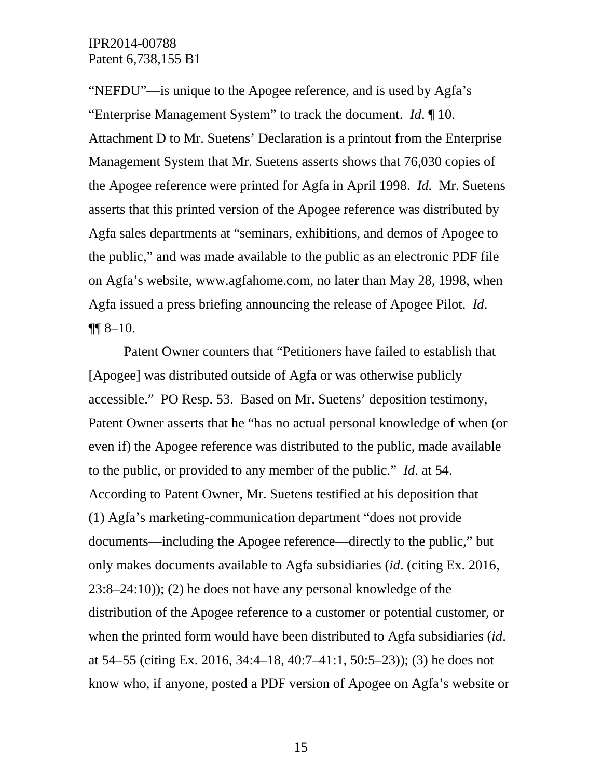"NEFDU"—is unique to the Apogee reference, and is used by Agfa's "Enterprise Management System" to track the document. *Id*. ¶ 10. Attachment D to Mr. Suetens' Declaration is a printout from the Enterprise Management System that Mr. Suetens asserts shows that 76,030 copies of the Apogee reference were printed for Agfa in April 1998. *Id.* Mr. Suetens asserts that this printed version of the Apogee reference was distributed by Agfa sales departments at "seminars, exhibitions, and demos of Apogee to the public," and was made available to the public as an electronic PDF file on Agfa's website, www.agfahome.com, no later than May 28, 1998, when Agfa issued a press briefing announcing the release of Apogee Pilot. *Id*.  $\P\P$  8–10.

Patent Owner counters that "Petitioners have failed to establish that [Apogee] was distributed outside of Agfa or was otherwise publicly accessible." PO Resp. 53. Based on Mr. Suetens' deposition testimony, Patent Owner asserts that he "has no actual personal knowledge of when (or even if) the Apogee reference was distributed to the public, made available to the public, or provided to any member of the public." *Id*. at 54. According to Patent Owner, Mr. Suetens testified at his deposition that (1) Agfa's marketing-communication department "does not provide documents—including the Apogee reference—directly to the public," but only makes documents available to Agfa subsidiaries (*id*. (citing Ex. 2016, 23:8–24:10)); (2) he does not have any personal knowledge of the distribution of the Apogee reference to a customer or potential customer, or when the printed form would have been distributed to Agfa subsidiaries (*id*. at 54–55 (citing Ex. 2016, 34:4–18, 40:7–41:1, 50:5–23)); (3) he does not know who, if anyone, posted a PDF version of Apogee on Agfa's website or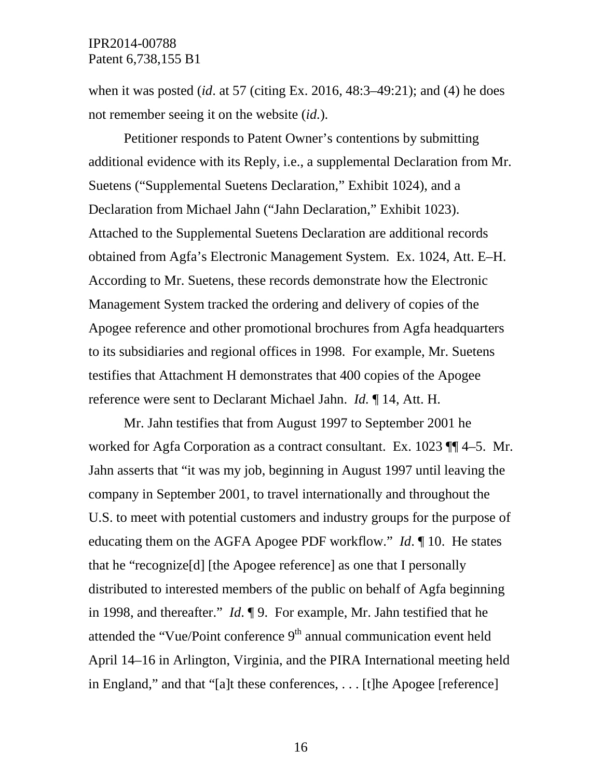when it was posted (*id*. at 57 (citing Ex. 2016, 48:3–49:21); and (4) he does not remember seeing it on the website (*id.*).

Petitioner responds to Patent Owner's contentions by submitting additional evidence with its Reply, i.e., a supplemental Declaration from Mr. Suetens ("Supplemental Suetens Declaration," Exhibit 1024), and a Declaration from Michael Jahn ("Jahn Declaration," Exhibit 1023). Attached to the Supplemental Suetens Declaration are additional records obtained from Agfa's Electronic Management System. Ex. 1024, Att. E–H. According to Mr. Suetens, these records demonstrate how the Electronic Management System tracked the ordering and delivery of copies of the Apogee reference and other promotional brochures from Agfa headquarters to its subsidiaries and regional offices in 1998. For example, Mr. Suetens testifies that Attachment H demonstrates that 400 copies of the Apogee reference were sent to Declarant Michael Jahn. *Id.* ¶ 14, Att. H.

Mr. Jahn testifies that from August 1997 to September 2001 he worked for Agfa Corporation as a contract consultant. Ex. 1023  $\P$  4–5. Mr. Jahn asserts that "it was my job, beginning in August 1997 until leaving the company in September 2001, to travel internationally and throughout the U.S. to meet with potential customers and industry groups for the purpose of educating them on the AGFA Apogee PDF workflow." *Id*. ¶ 10. He states that he "recognize[d] [the Apogee reference] as one that I personally distributed to interested members of the public on behalf of Agfa beginning in 1998, and thereafter." *Id*. ¶ 9. For example, Mr. Jahn testified that he attended the "Vue/Point conference  $9<sup>th</sup>$  annual communication event held April 14–16 in Arlington, Virginia, and the PIRA International meeting held in England," and that "[a]t these conferences, . . . [t]he Apogee [reference]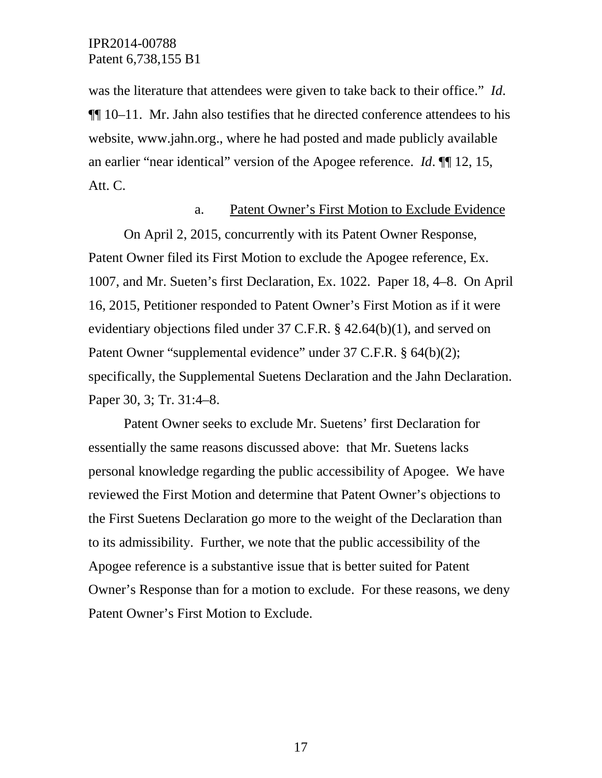was the literature that attendees were given to take back to their office." *Id*. ¶¶ 10–11. Mr. Jahn also testifies that he directed conference attendees to his website, www.jahn.org., where he had posted and made publicly available an earlier "near identical" version of the Apogee reference. *Id*. ¶¶ 12, 15, Att. C.

#### a. Patent Owner's First Motion to Exclude Evidence

On April 2, 2015, concurrently with its Patent Owner Response, Patent Owner filed its First Motion to exclude the Apogee reference, Ex. 1007, and Mr. Sueten's first Declaration, Ex. 1022. Paper 18, 4–8. On April 16, 2015, Petitioner responded to Patent Owner's First Motion as if it were evidentiary objections filed under 37 C.F.R. § 42.64(b)(1), and served on Patent Owner "supplemental evidence" under 37 C.F.R. § 64(b)(2); specifically, the Supplemental Suetens Declaration and the Jahn Declaration. Paper 30, 3; Tr. 31:4–8.

Patent Owner seeks to exclude Mr. Suetens' first Declaration for essentially the same reasons discussed above: that Mr. Suetens lacks personal knowledge regarding the public accessibility of Apogee. We have reviewed the First Motion and determine that Patent Owner's objections to the First Suetens Declaration go more to the weight of the Declaration than to its admissibility. Further, we note that the public accessibility of the Apogee reference is a substantive issue that is better suited for Patent Owner's Response than for a motion to exclude. For these reasons, we deny Patent Owner's First Motion to Exclude.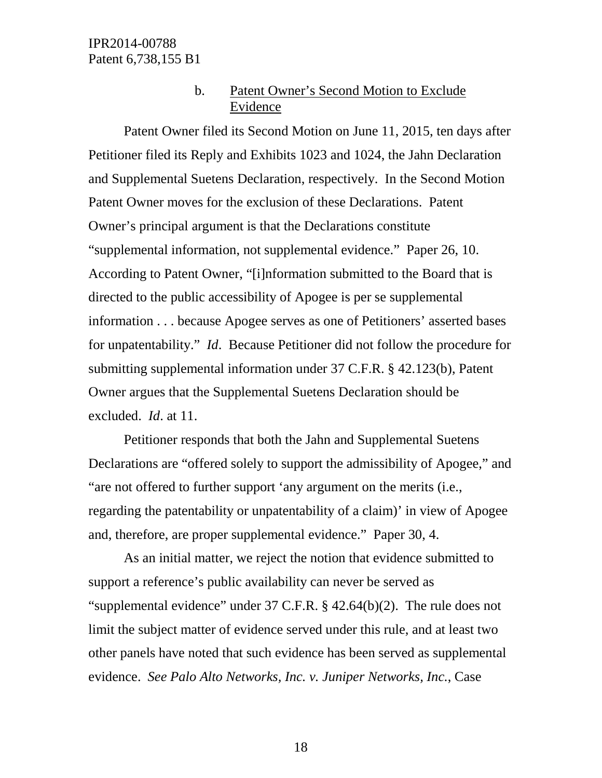### b. Patent Owner's Second Motion to Exclude Evidence

Patent Owner filed its Second Motion on June 11, 2015, ten days after Petitioner filed its Reply and Exhibits 1023 and 1024, the Jahn Declaration and Supplemental Suetens Declaration, respectively. In the Second Motion Patent Owner moves for the exclusion of these Declarations. Patent Owner's principal argument is that the Declarations constitute "supplemental information, not supplemental evidence." Paper 26, 10. According to Patent Owner, "[i]nformation submitted to the Board that is directed to the public accessibility of Apogee is per se supplemental information . . . because Apogee serves as one of Petitioners' asserted bases for unpatentability." *Id*. Because Petitioner did not follow the procedure for submitting supplemental information under 37 C.F.R. § 42.123(b), Patent Owner argues that the Supplemental Suetens Declaration should be excluded. *Id*. at 11.

Petitioner responds that both the Jahn and Supplemental Suetens Declarations are "offered solely to support the admissibility of Apogee," and "are not offered to further support 'any argument on the merits (i.e., regarding the patentability or unpatentability of a claim)' in view of Apogee and, therefore, are proper supplemental evidence." Paper 30, 4.

As an initial matter, we reject the notion that evidence submitted to support a reference's public availability can never be served as "supplemental evidence" under 37 C.F.R. § 42.64(b)(2). The rule does not limit the subject matter of evidence served under this rule, and at least two other panels have noted that such evidence has been served as supplemental evidence. *See Palo Alto Networks, Inc. v. Juniper Networks, Inc.*, Case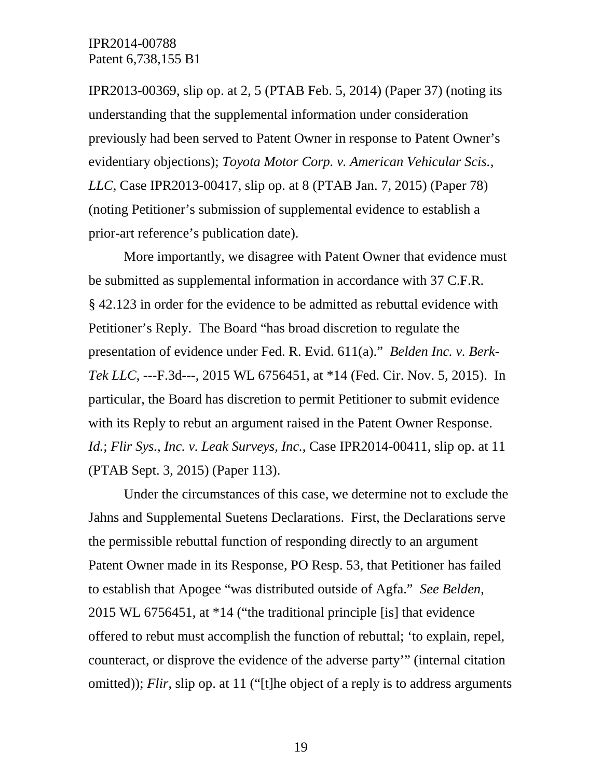IPR2013-00369, slip op. at 2, 5 (PTAB Feb. 5, 2014) (Paper 37) (noting its understanding that the supplemental information under consideration previously had been served to Patent Owner in response to Patent Owner's evidentiary objections); *Toyota Motor Corp. v. American Vehicular Scis., LLC*, Case IPR2013-00417, slip op. at 8 (PTAB Jan. 7, 2015) (Paper 78) (noting Petitioner's submission of supplemental evidence to establish a prior-art reference's publication date).

More importantly, we disagree with Patent Owner that evidence must be submitted as supplemental information in accordance with 37 C.F.R. § 42.123 in order for the evidence to be admitted as rebuttal evidence with Petitioner's Reply. The Board "has broad discretion to regulate the presentation of evidence under Fed. R. Evid. 611(a)." *Belden Inc. v. Berk-Tek LLC*, ---F.3d---, 2015 WL 6756451, at \*14 (Fed. Cir. Nov. 5, 2015). In particular, the Board has discretion to permit Petitioner to submit evidence with its Reply to rebut an argument raised in the Patent Owner Response. *Id.*; *Flir Sys., Inc. v. Leak Surveys, Inc.*, Case IPR2014-00411, slip op. at 11 (PTAB Sept. 3, 2015) (Paper 113).

Under the circumstances of this case, we determine not to exclude the Jahns and Supplemental Suetens Declarations. First, the Declarations serve the permissible rebuttal function of responding directly to an argument Patent Owner made in its Response, PO Resp. 53, that Petitioner has failed to establish that Apogee "was distributed outside of Agfa." *See Belden*, 2015 WL 6756451, at \*14 ("the traditional principle [is] that evidence offered to rebut must accomplish the function of rebuttal; 'to explain, repel, counteract, or disprove the evidence of the adverse party'" (internal citation omitted)); *Flir*, slip op. at 11 ("[t]he object of a reply is to address arguments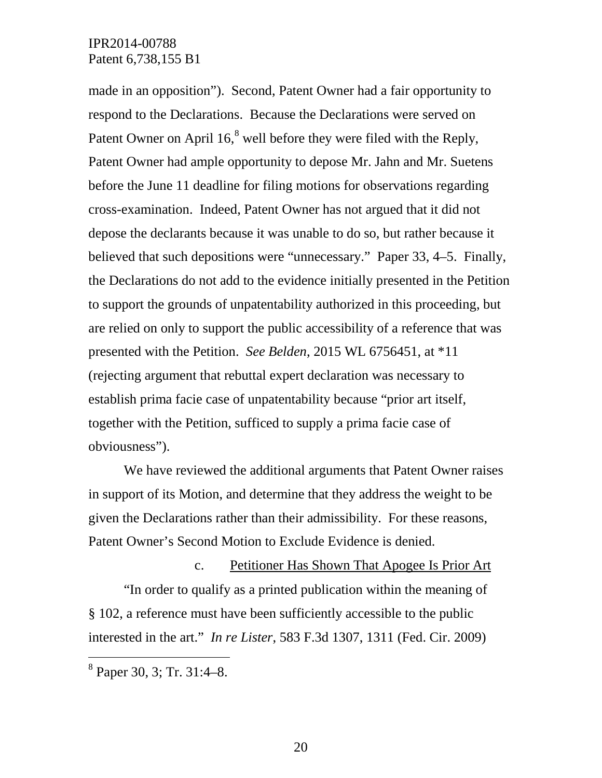made in an opposition"). Second, Patent Owner had a fair opportunity to respond to the Declarations. Because the Declarations were served on Patent Owner on April  $16<sup>8</sup>$  $16<sup>8</sup>$  $16<sup>8</sup>$  well before they were filed with the Reply, Patent Owner had ample opportunity to depose Mr. Jahn and Mr. Suetens before the June 11 deadline for filing motions for observations regarding cross-examination. Indeed, Patent Owner has not argued that it did not depose the declarants because it was unable to do so, but rather because it believed that such depositions were "unnecessary." Paper 33, 4–5. Finally, the Declarations do not add to the evidence initially presented in the Petition to support the grounds of unpatentability authorized in this proceeding, but are relied on only to support the public accessibility of a reference that was presented with the Petition. *See Belden*, 2015 WL 6756451, at \*11 (rejecting argument that rebuttal expert declaration was necessary to establish prima facie case of unpatentability because "prior art itself, together with the Petition, sufficed to supply a prima facie case of obviousness").

We have reviewed the additional arguments that Patent Owner raises in support of its Motion, and determine that they address the weight to be given the Declarations rather than their admissibility. For these reasons, Patent Owner's Second Motion to Exclude Evidence is denied.

c. Petitioner Has Shown That Apogee Is Prior Art "In order to qualify as a printed publication within the meaning of § 102, a reference must have been sufficiently accessible to the public interested in the art." *In re Lister*, 583 F.3d 1307, 1311 (Fed. Cir. 2009)

<span id="page-19-0"></span> <sup>8</sup> Paper 30, 3; Tr. 31:4–8.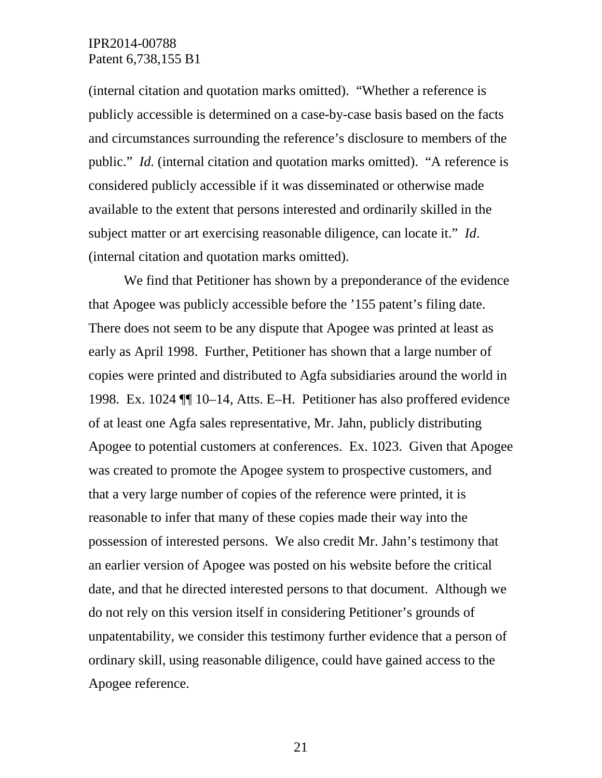(internal citation and quotation marks omitted). "Whether a reference is publicly accessible is determined on a case-by-case basis based on the facts and circumstances surrounding the reference's disclosure to members of the public." *Id.* (internal citation and quotation marks omitted)."A reference is considered publicly accessible if it was disseminated or otherwise made available to the extent that persons interested and ordinarily skilled in the subject matter or art exercising reasonable diligence, can locate it." *Id*. (internal citation and quotation marks omitted).

We find that Petitioner has shown by a preponderance of the evidence that Apogee was publicly accessible before the '155 patent's filing date. There does not seem to be any dispute that Apogee was printed at least as early as April 1998. Further, Petitioner has shown that a large number of copies were printed and distributed to Agfa subsidiaries around the world in 1998. Ex. 1024 ¶¶ 10–14, Atts. E–H. Petitioner has also proffered evidence of at least one Agfa sales representative, Mr. Jahn, publicly distributing Apogee to potential customers at conferences. Ex. 1023. Given that Apogee was created to promote the Apogee system to prospective customers, and that a very large number of copies of the reference were printed, it is reasonable to infer that many of these copies made their way into the possession of interested persons. We also credit Mr. Jahn's testimony that an earlier version of Apogee was posted on his website before the critical date, and that he directed interested persons to that document. Although we do not rely on this version itself in considering Petitioner's grounds of unpatentability, we consider this testimony further evidence that a person of ordinary skill, using reasonable diligence, could have gained access to the Apogee reference.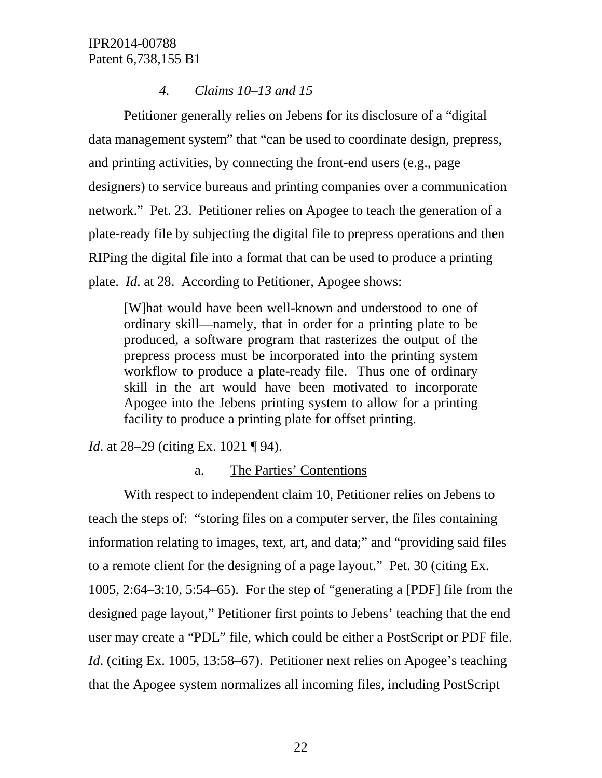#### *4. Claims 10–13 and 15*

Petitioner generally relies on Jebens for its disclosure of a "digital data management system" that "can be used to coordinate design, prepress, and printing activities, by connecting the front-end users (e.g., page designers) to service bureaus and printing companies over a communication network." Pet. 23. Petitioner relies on Apogee to teach the generation of a plate-ready file by subjecting the digital file to prepress operations and then RIPing the digital file into a format that can be used to produce a printing plate. *Id*. at 28. According to Petitioner, Apogee shows:

[W]hat would have been well-known and understood to one of ordinary skill—namely, that in order for a printing plate to be produced, a software program that rasterizes the output of the prepress process must be incorporated into the printing system workflow to produce a plate-ready file. Thus one of ordinary skill in the art would have been motivated to incorporate Apogee into the Jebens printing system to allow for a printing facility to produce a printing plate for offset printing.

*Id.* at 28–29 (citing Ex. 1021 ¶ 94).

#### a. The Parties' Contentions

With respect to independent claim 10, Petitioner relies on Jebens to teach the steps of: "storing files on a computer server, the files containing information relating to images, text, art, and data;" and "providing said files to a remote client for the designing of a page layout." Pet. 30 (citing Ex. 1005, 2:64–3:10, 5:54–65). For the step of "generating a [PDF] file from the designed page layout," Petitioner first points to Jebens' teaching that the end user may create a "PDL" file, which could be either a PostScript or PDF file. *Id.* (citing Ex. 1005, 13:58–67). Petitioner next relies on Apogee's teaching that the Apogee system normalizes all incoming files, including PostScript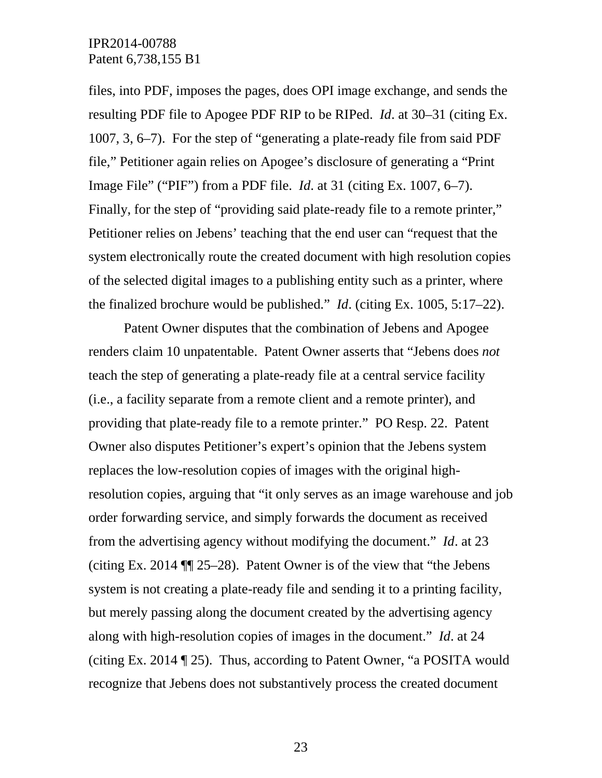files, into PDF, imposes the pages, does OPI image exchange, and sends the resulting PDF file to Apogee PDF RIP to be RIPed. *Id*. at 30–31 (citing Ex. 1007, 3, 6–7). For the step of "generating a plate-ready file from said PDF file," Petitioner again relies on Apogee's disclosure of generating a "Print Image File" ("PIF") from a PDF file. *Id*. at 31 (citing Ex. 1007, 6–7). Finally, for the step of "providing said plate-ready file to a remote printer," Petitioner relies on Jebens' teaching that the end user can "request that the system electronically route the created document with high resolution copies of the selected digital images to a publishing entity such as a printer, where the finalized brochure would be published." *Id*. (citing Ex. 1005, 5:17–22).

Patent Owner disputes that the combination of Jebens and Apogee renders claim 10 unpatentable. Patent Owner asserts that "Jebens does *not* teach the step of generating a plate-ready file at a central service facility (i.e., a facility separate from a remote client and a remote printer), and providing that plate-ready file to a remote printer." PO Resp. 22. Patent Owner also disputes Petitioner's expert's opinion that the Jebens system replaces the low-resolution copies of images with the original highresolution copies, arguing that "it only serves as an image warehouse and job order forwarding service, and simply forwards the document as received from the advertising agency without modifying the document." *Id*. at 23 (citing Ex. 2014 ¶¶ 25–28). Patent Owner is of the view that "the Jebens system is not creating a plate-ready file and sending it to a printing facility, but merely passing along the document created by the advertising agency along with high-resolution copies of images in the document." *Id*. at 24 (citing Ex. 2014 ¶ 25). Thus, according to Patent Owner, "a POSITA would recognize that Jebens does not substantively process the created document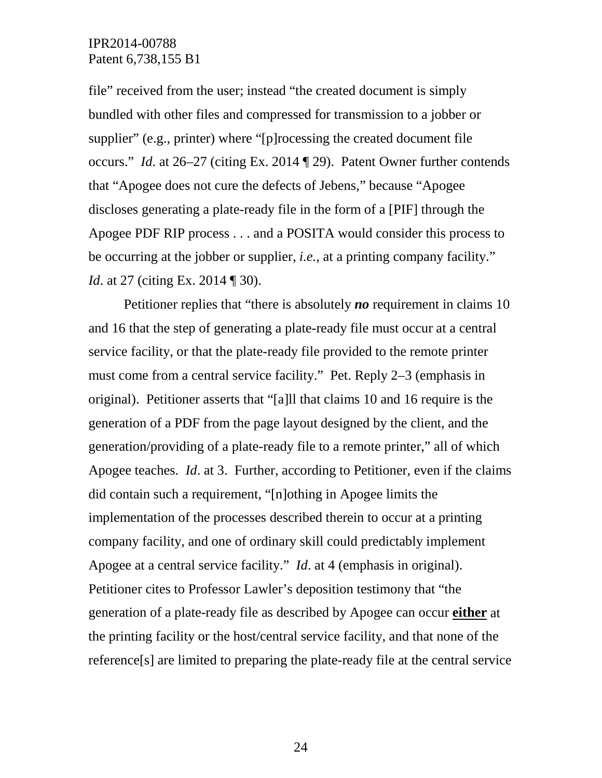file" received from the user; instead "the created document is simply bundled with other files and compressed for transmission to a jobber or supplier" (e.g., printer) where "[p]rocessing the created document file occurs." *Id*. at 26–27 (citing Ex. 2014 ¶ 29). Patent Owner further contends that "Apogee does not cure the defects of Jebens," because "Apogee discloses generating a plate-ready file in the form of a [PIF] through the Apogee PDF RIP process . . . and a POSITA would consider this process to be occurring at the jobber or supplier, *i.e.*, at a printing company facility." *Id.* at 27 (citing Ex. 2014 ¶ 30).

Petitioner replies that "there is absolutely *no* requirement in claims 10 and 16 that the step of generating a plate-ready file must occur at a central service facility, or that the plate-ready file provided to the remote printer must come from a central service facility." Pet. Reply 2–3 (emphasis in original). Petitioner asserts that "[a]ll that claims 10 and 16 require is the generation of a PDF from the page layout designed by the client, and the generation/providing of a plate-ready file to a remote printer," all of which Apogee teaches. *Id*. at 3. Further, according to Petitioner, even if the claims did contain such a requirement, "[n]othing in Apogee limits the implementation of the processes described therein to occur at a printing company facility, and one of ordinary skill could predictably implement Apogee at a central service facility." *Id*. at 4 (emphasis in original). Petitioner cites to Professor Lawler's deposition testimony that "the generation of a plate-ready file as described by Apogee can occur **either** at the printing facility or the host/central service facility, and that none of the reference[s] are limited to preparing the plate-ready file at the central service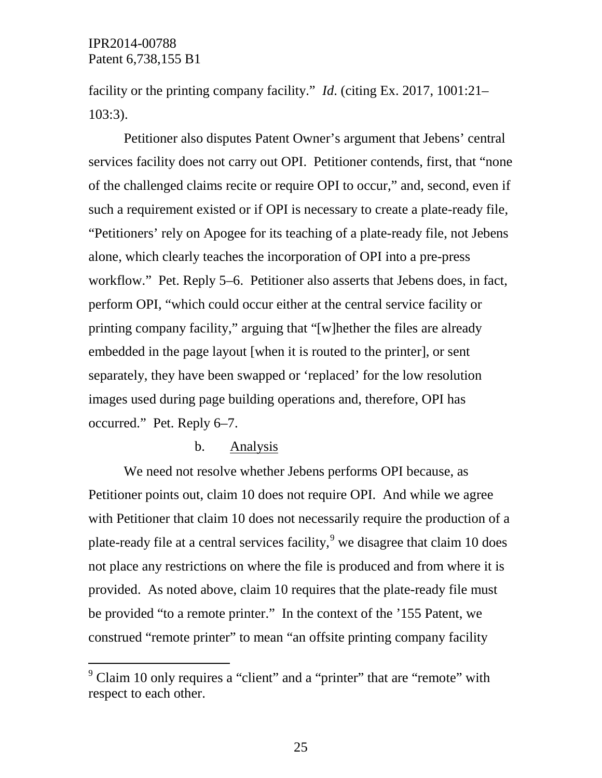facility or the printing company facility." *Id*. (citing Ex. 2017, 1001:21– 103:3).

Petitioner also disputes Patent Owner's argument that Jebens' central services facility does not carry out OPI. Petitioner contends, first, that "none of the challenged claims recite or require OPI to occur," and, second, even if such a requirement existed or if OPI is necessary to create a plate-ready file, "Petitioners' rely on Apogee for its teaching of a plate-ready file, not Jebens alone, which clearly teaches the incorporation of OPI into a pre-press workflow." Pet. Reply 5–6. Petitioner also asserts that Jebens does, in fact, perform OPI, "which could occur either at the central service facility or printing company facility," arguing that "[w]hether the files are already embedded in the page layout [when it is routed to the printer], or sent separately, they have been swapped or 'replaced' for the low resolution images used during page building operations and, therefore, OPI has occurred." Pet. Reply 6–7.

#### b. Analysis

We need not resolve whether Jebens performs OPI because, as Petitioner points out, claim 10 does not require OPI. And while we agree with Petitioner that claim 10 does not necessarily require the production of a plate-ready file at a central services facility,  $9$  we disagree that claim 10 does not place any restrictions on where the file is produced and from where it is provided. As noted above, claim 10 requires that the plate-ready file must be provided "to a remote printer." In the context of the '155 Patent, we construed "remote printer" to mean "an offsite printing company facility

<span id="page-24-0"></span> $9^9$  Claim 10 only requires a "client" and a "printer" that are "remote" with respect to each other.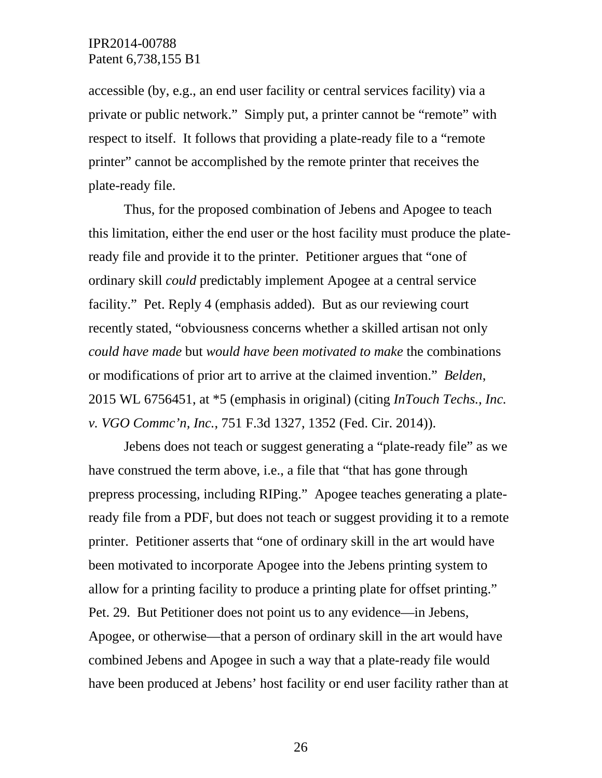accessible (by, e.g., an end user facility or central services facility) via a private or public network." Simply put, a printer cannot be "remote" with respect to itself. It follows that providing a plate-ready file to a "remote printer" cannot be accomplished by the remote printer that receives the plate-ready file.

Thus, for the proposed combination of Jebens and Apogee to teach this limitation, either the end user or the host facility must produce the plateready file and provide it to the printer. Petitioner argues that "one of ordinary skill *could* predictably implement Apogee at a central service facility." Pet. Reply 4 (emphasis added). But as our reviewing court recently stated, "obviousness concerns whether a skilled artisan not only *could have made* but *would have been motivated to make* the combinations or modifications of prior art to arrive at the claimed invention." *Belden*, 2015 WL 6756451, at \*5 (emphasis in original) (citing *InTouch Techs., Inc. v. VGO Commc'n, Inc.*, 751 F.3d 1327, 1352 (Fed. Cir. 2014)).

Jebens does not teach or suggest generating a "plate-ready file" as we have construed the term above, i.e., a file that "that has gone through prepress processing, including RIPing." Apogee teaches generating a plateready file from a PDF, but does not teach or suggest providing it to a remote printer. Petitioner asserts that "one of ordinary skill in the art would have been motivated to incorporate Apogee into the Jebens printing system to allow for a printing facility to produce a printing plate for offset printing." Pet. 29. But Petitioner does not point us to any evidence—in Jebens, Apogee, or otherwise—that a person of ordinary skill in the art would have combined Jebens and Apogee in such a way that a plate-ready file would have been produced at Jebens' host facility or end user facility rather than at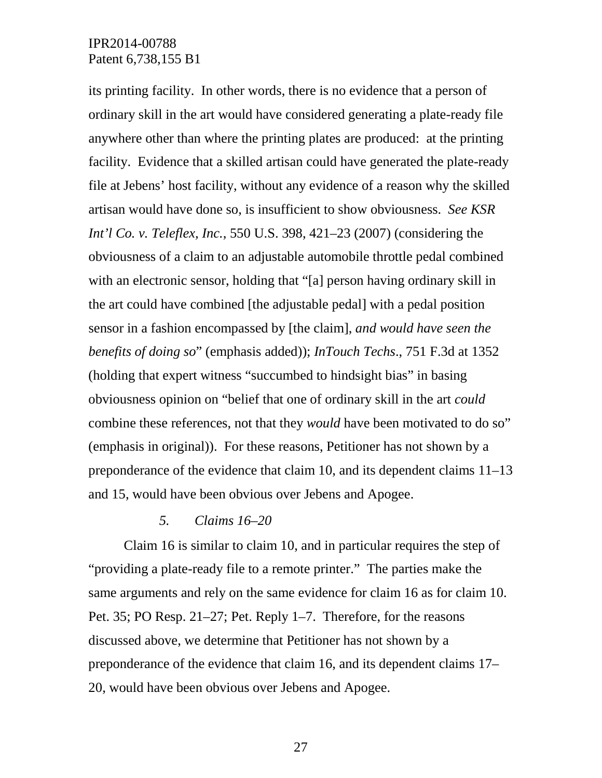its printing facility. In other words, there is no evidence that a person of ordinary skill in the art would have considered generating a plate-ready file anywhere other than where the printing plates are produced: at the printing facility. Evidence that a skilled artisan could have generated the plate-ready file at Jebens' host facility, without any evidence of a reason why the skilled artisan would have done so, is insufficient to show obviousness. *See KSR Int'l Co. v. Teleflex, Inc.*, 550 U.S. 398, 421–23 (2007) (considering the obviousness of a claim to an adjustable automobile throttle pedal combined with an electronic sensor, holding that "[a] person having ordinary skill in the art could have combined [the adjustable pedal] with a pedal position sensor in a fashion encompassed by [the claim], *and would have seen the benefits of doing so*" (emphasis added)); *InTouch Techs*., 751 F.3d at 1352 (holding that expert witness "succumbed to hindsight bias" in basing obviousness opinion on "belief that one of ordinary skill in the art *could* combine these references, not that they *would* have been motivated to do so" (emphasis in original)). For these reasons, Petitioner has not shown by a preponderance of the evidence that claim 10, and its dependent claims 11–13 and 15, would have been obvious over Jebens and Apogee.

#### *5. Claims 16–20*

Claim 16 is similar to claim 10, and in particular requires the step of "providing a plate-ready file to a remote printer." The parties make the same arguments and rely on the same evidence for claim 16 as for claim 10. Pet. 35; PO Resp. 21–27; Pet. Reply 1–7. Therefore, for the reasons discussed above, we determine that Petitioner has not shown by a preponderance of the evidence that claim 16, and its dependent claims 17– 20, would have been obvious over Jebens and Apogee.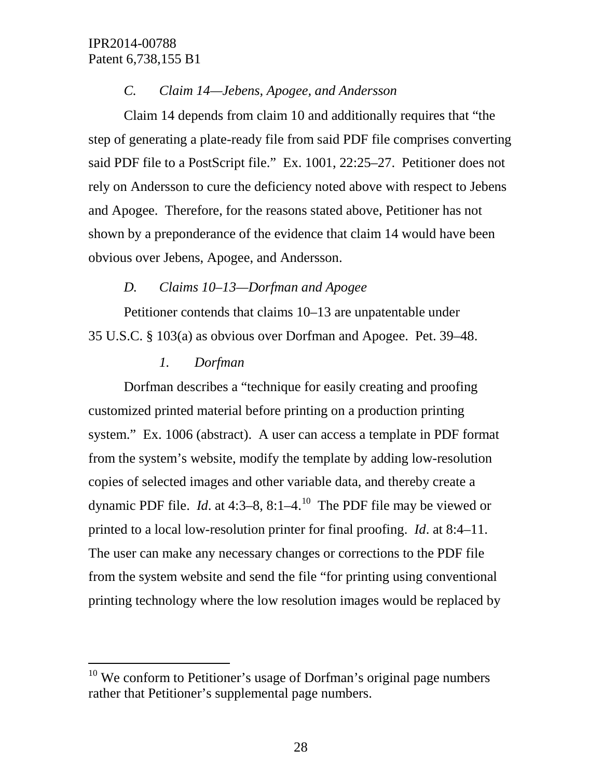## *C. Claim 14—Jebens, Apogee, and Andersson*

Claim 14 depends from claim 10 and additionally requires that "the step of generating a plate-ready file from said PDF file comprises converting said PDF file to a PostScript file." Ex. 1001, 22:25–27. Petitioner does not rely on Andersson to cure the deficiency noted above with respect to Jebens and Apogee. Therefore, for the reasons stated above, Petitioner has not shown by a preponderance of the evidence that claim 14 would have been obvious over Jebens, Apogee, and Andersson.

# *D. Claims 10–13—Dorfman and Apogee*

Petitioner contends that claims 10–13 are unpatentable under 35 U.S.C. § 103(a) as obvious over Dorfman and Apogee. Pet. 39–48.

## *1. Dorfman*

Dorfman describes a "technique for easily creating and proofing customized printed material before printing on a production printing system." Ex. 1006 (abstract). A user can access a template in PDF format from the system's website, modify the template by adding low-resolution copies of selected images and other variable data, and thereby create a dynamic PDF file. *Id*. at 4:3–8, 8:1–4. [10](#page-27-0) The PDF file may be viewed or printed to a local low-resolution printer for final proofing. *Id*. at 8:4–11. The user can make any necessary changes or corrections to the PDF file from the system website and send the file "for printing using conventional printing technology where the low resolution images would be replaced by

<span id="page-27-0"></span> $10$  We conform to Petitioner's usage of Dorfman's original page numbers rather that Petitioner's supplemental page numbers.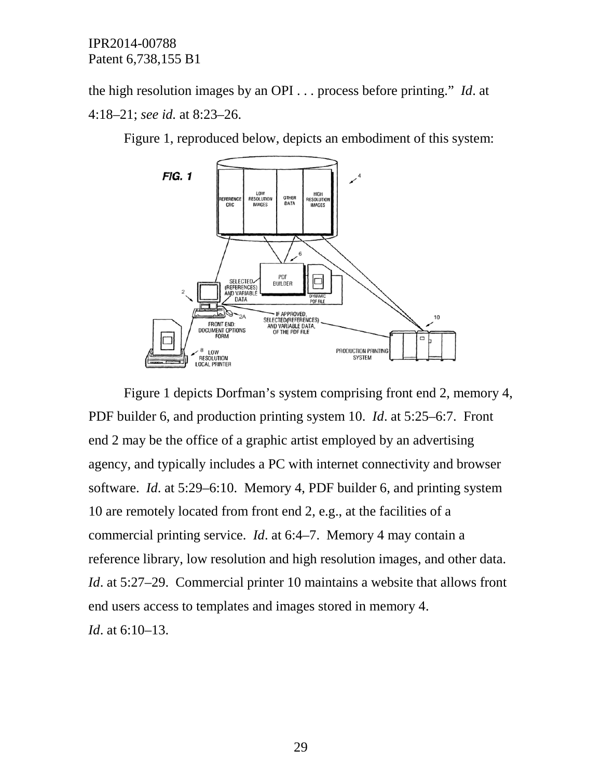the high resolution images by an OPI . . . process before printing." *Id*. at 4:18–21; *see id.* at 8:23–26.

Figure 1, reproduced below, depicts an embodiment of this system:



Figure 1 depicts Dorfman's system comprising front end 2, memory 4, PDF builder 6, and production printing system 10. *Id*. at 5:25–6:7. Front end 2 may be the office of a graphic artist employed by an advertising agency, and typically includes a PC with internet connectivity and browser software. *Id*. at 5:29–6:10. Memory 4, PDF builder 6, and printing system 10 are remotely located from front end 2, e.g., at the facilities of a commercial printing service. *Id*. at 6:4–7. Memory 4 may contain a reference library, low resolution and high resolution images, and other data. *Id.* at 5:27–29. Commercial printer 10 maintains a website that allows front end users access to templates and images stored in memory 4. *Id*. at 6:10–13.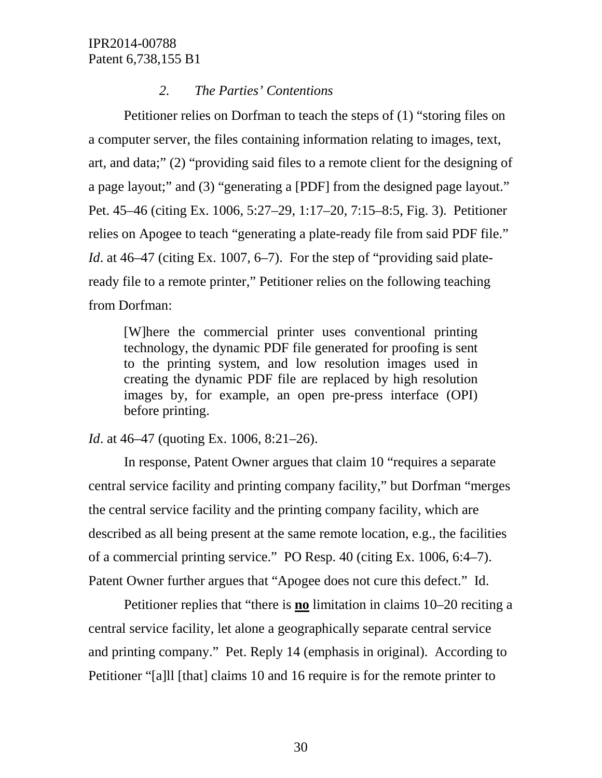## *2. The Parties' Contentions*

Petitioner relies on Dorfman to teach the steps of (1) "storing files on a computer server, the files containing information relating to images, text, art, and data;" (2) "providing said files to a remote client for the designing of a page layout;" and (3) "generating a [PDF] from the designed page layout." Pet. 45–46 (citing Ex. 1006, 5:27–29, 1:17–20, 7:15–8:5, Fig. 3). Petitioner relies on Apogee to teach "generating a plate-ready file from said PDF file." *Id*. at 46–47 (citing Ex. 1007, 6–7). For the step of "providing said plateready file to a remote printer," Petitioner relies on the following teaching from Dorfman:

[W]here the commercial printer uses conventional printing technology, the dynamic PDF file generated for proofing is sent to the printing system, and low resolution images used in creating the dynamic PDF file are replaced by high resolution images by, for example, an open pre-press interface (OPI) before printing.

*Id.* at 46–47 (quoting Ex. 1006, 8:21–26).

In response, Patent Owner argues that claim 10 "requires a separate central service facility and printing company facility," but Dorfman "merges the central service facility and the printing company facility, which are described as all being present at the same remote location, e.g., the facilities of a commercial printing service." PO Resp. 40 (citing Ex. 1006, 6:4–7). Patent Owner further argues that "Apogee does not cure this defect." Id.

Petitioner replies that "there is **no** limitation in claims 10–20 reciting a central service facility, let alone a geographically separate central service and printing company." Pet. Reply 14 (emphasis in original). According to Petitioner "[a]ll [that] claims 10 and 16 require is for the remote printer to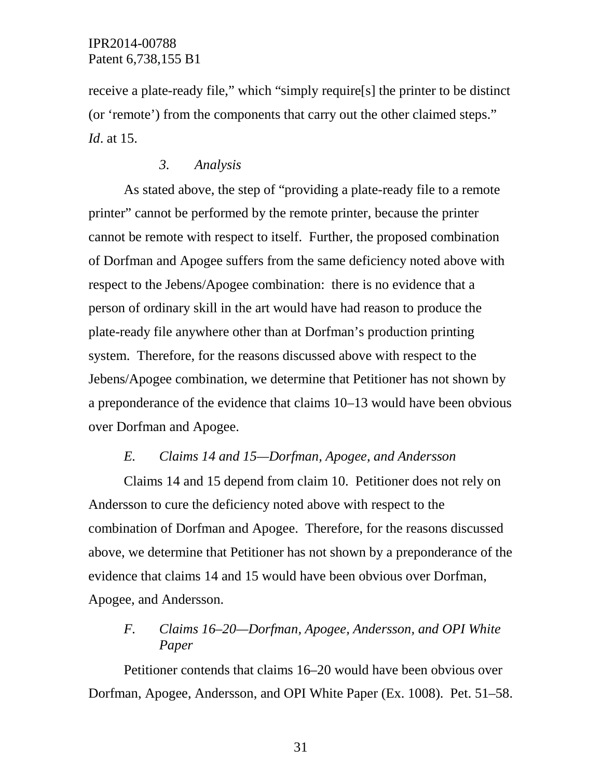receive a plate-ready file," which "simply require[s] the printer to be distinct (or 'remote') from the components that carry out the other claimed steps." *Id*. at 15.

#### *3. Analysis*

As stated above, the step of "providing a plate-ready file to a remote printer" cannot be performed by the remote printer, because the printer cannot be remote with respect to itself. Further, the proposed combination of Dorfman and Apogee suffers from the same deficiency noted above with respect to the Jebens/Apogee combination: there is no evidence that a person of ordinary skill in the art would have had reason to produce the plate-ready file anywhere other than at Dorfman's production printing system. Therefore, for the reasons discussed above with respect to the Jebens/Apogee combination, we determine that Petitioner has not shown by a preponderance of the evidence that claims 10–13 would have been obvious over Dorfman and Apogee.

#### *E. Claims 14 and 15—Dorfman, Apogee, and Andersson*

Claims 14 and 15 depend from claim 10. Petitioner does not rely on Andersson to cure the deficiency noted above with respect to the combination of Dorfman and Apogee. Therefore, for the reasons discussed above, we determine that Petitioner has not shown by a preponderance of the evidence that claims 14 and 15 would have been obvious over Dorfman, Apogee, and Andersson.

## *F. Claims 16–20—Dorfman, Apogee, Andersson, and OPI White Paper*

Petitioner contends that claims 16–20 would have been obvious over Dorfman, Apogee, Andersson, and OPI White Paper (Ex. 1008). Pet. 51–58.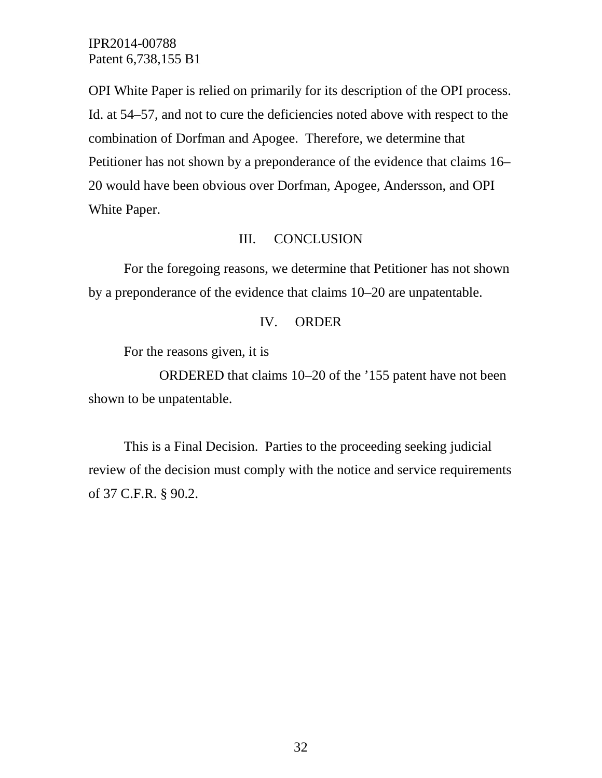OPI White Paper is relied on primarily for its description of the OPI process. Id. at 54–57, and not to cure the deficiencies noted above with respect to the combination of Dorfman and Apogee. Therefore, we determine that Petitioner has not shown by a preponderance of the evidence that claims 16– 20 would have been obvious over Dorfman, Apogee, Andersson, and OPI White Paper.

#### III. CONCLUSION

For the foregoing reasons, we determine that Petitioner has not shown by a preponderance of the evidence that claims 10–20 are unpatentable.

#### IV. ORDER

For the reasons given, it is

ORDERED that claims 10–20 of the '155 patent have not been shown to be unpatentable.

This is a Final Decision. Parties to the proceeding seeking judicial review of the decision must comply with the notice and service requirements of 37 C.F.R. § 90.2.